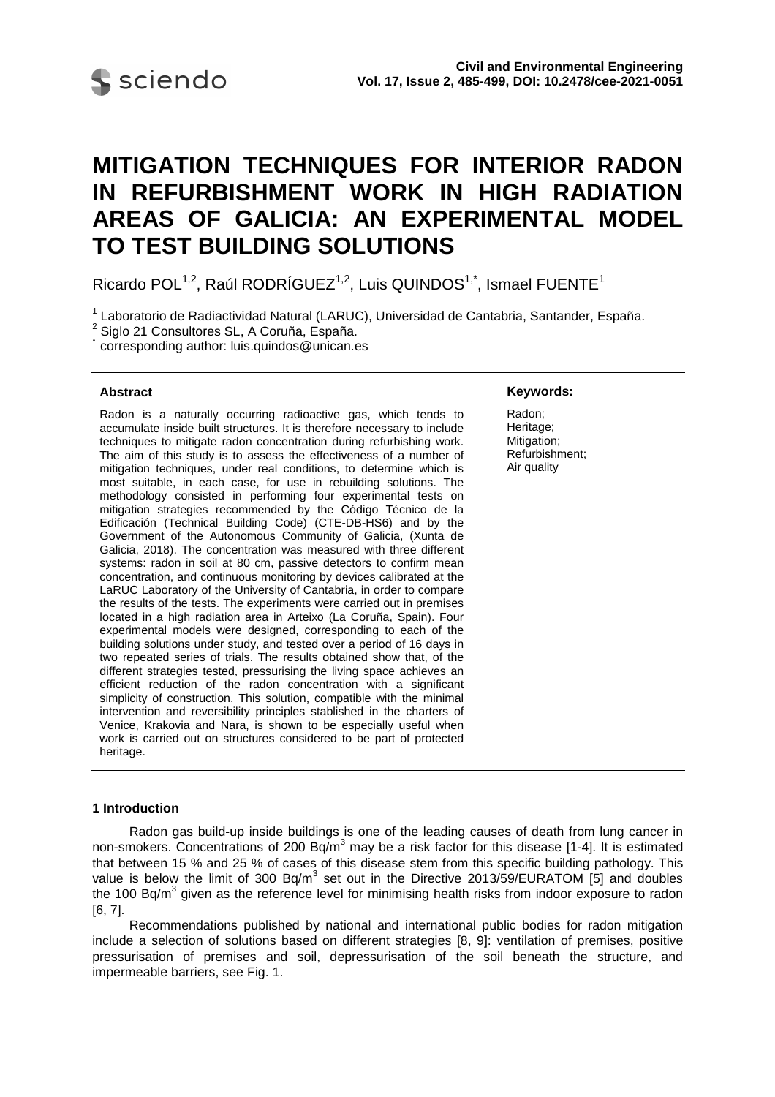

# **MITIGATION TECHNIQUES FOR INTERIOR RADON IN REFURBISHMENT WORK IN HIGH RADIATION AREAS OF GALICIA: AN EXPERIMENTAL MODEL TO TEST BUILDING SOLUTIONS**

Ricardo POL<sup>1,2</sup>, Raúl RODRÍGUEZ<sup>1,2</sup>, Luis QUINDOS<sup>1,\*</sup>, Ismael FUENTE<sup>1</sup>

<sup>1</sup> Laboratorio de Radiactividad Natural (LARUC), Universidad de Cantabria, Santander, España.

corresponding author: luis.quindos@unican.es

# **Abstract**

Radon is a naturally occurring radioactive gas, which tends to accumulate inside built structures. It is therefore necessary to include techniques to mitigate radon concentration during refurbishing work. The aim of this study is to assess the effectiveness of a number of mitigation techniques, under real conditions, to determine which is most suitable, in each case, for use in rebuilding solutions. The methodology consisted in performing four experimental tests on mitigation strategies recommended by the Código Técnico de la Edificación (Technical Building Code) (CTE-DB-HS6) and by the Government of the Autonomous Community of Galicia, (Xunta de Galicia, 2018). The concentration was measured with three different systems: radon in soil at 80 cm, passive detectors to confirm mean concentration, and continuous monitoring by devices calibrated at the LaRUC Laboratory of the University of Cantabria, in order to compare the results of the tests. The experiments were carried out in premises located in a high radiation area in Arteixo (La Coruña, Spain). Four experimental models were designed, corresponding to each of the building solutions under study, and tested over a period of 16 days in two repeated series of trials. The results obtained show that, of the different strategies tested, pressurising the living space achieves an efficient reduction of the radon concentration with a significant simplicity of construction. This solution, compatible with the minimal intervention and reversibility principles stablished in the charters of Venice, Krakovia and Nara, is shown to be especially useful when work is carried out on structures considered to be part of protected heritage.

## **Keywords:**

Radon; Heritage; Mitigation; Refurbishment; Air quality

## **1 Introduction**

Radon gas build-up inside buildings is one of the leading causes of death from lung cancer in non-smokers. Concentrations of 200 Bq/m<sup>3</sup> may be a risk factor for this disease [1-4]. It is estimated that between 15 % and 25 % of cases of this disease stem from this specific building pathology. This value is below the limit of 300 Bq/m<sup>3</sup> set out in the Directive 2013/59/EURATOM [5] and doubles the 100 Bq/m<sup>3</sup> given as the reference level for minimising health risks from indoor exposure to radon [6, 7].

Recommendations published by national and international public bodies for radon mitigation include a selection of solutions based on different strategies [8, 9]: ventilation of premises, positive pressurisation of premises and soil, depressurisation of the soil beneath the structure, and impermeable barriers, see Fig. 1.

<sup>2</sup> Siglo 21 Consultores SL, A Coruña, España.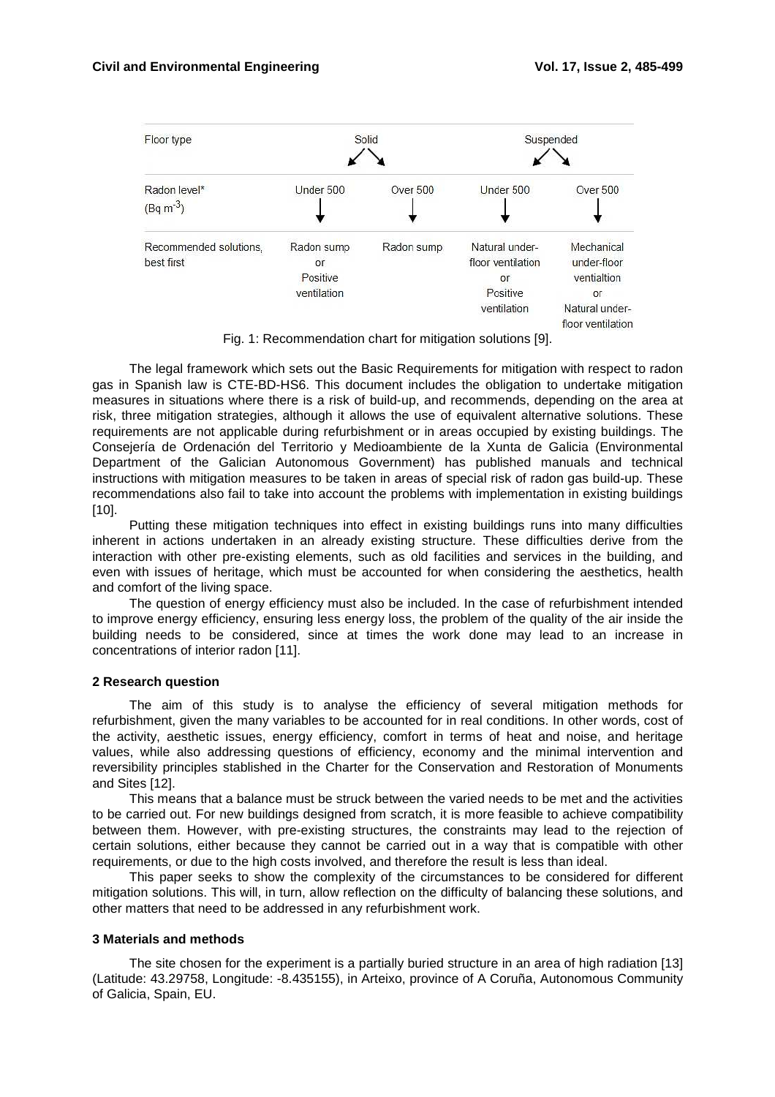

Fig. 1: Recommendation chart for mitigation solutions [9].

The legal framework which sets out the Basic Requirements for mitigation with respect to radon gas in Spanish law is CTE-BD-HS6. This document includes the obligation to undertake mitigation measures in situations where there is a risk of build-up, and recommends, depending on the area at risk, three mitigation strategies, although it allows the use of equivalent alternative solutions. These requirements are not applicable during refurbishment or in areas occupied by existing buildings. The Consejería de Ordenación del Territorio y Medioambiente de la Xunta de Galicia (Environmental Department of the Galician Autonomous Government) has published manuals and technical instructions with mitigation measures to be taken in areas of special risk of radon gas build-up. These recommendations also fail to take into account the problems with implementation in existing buildings [10].

Putting these mitigation techniques into effect in existing buildings runs into many difficulties inherent in actions undertaken in an already existing structure. These difficulties derive from the interaction with other pre-existing elements, such as old facilities and services in the building, and even with issues of heritage, which must be accounted for when considering the aesthetics, health and comfort of the living space.

The question of energy efficiency must also be included. In the case of refurbishment intended to improve energy efficiency, ensuring less energy loss, the problem of the quality of the air inside the building needs to be considered, since at times the work done may lead to an increase in concentrations of interior radon [11].

## **2 Research question**

The aim of this study is to analyse the efficiency of several mitigation methods for refurbishment, given the many variables to be accounted for in real conditions. In other words, cost of the activity, aesthetic issues, energy efficiency, comfort in terms of heat and noise, and heritage values, while also addressing questions of efficiency, economy and the minimal intervention and reversibility principles stablished in the Charter for the Conservation and Restoration of Monuments and Sites [12].

This means that a balance must be struck between the varied needs to be met and the activities to be carried out. For new buildings designed from scratch, it is more feasible to achieve compatibility between them. However, with pre-existing structures, the constraints may lead to the rejection of certain solutions, either because they cannot be carried out in a way that is compatible with other requirements, or due to the high costs involved, and therefore the result is less than ideal.

This paper seeks to show the complexity of the circumstances to be considered for different mitigation solutions. This will, in turn, allow reflection on the difficulty of balancing these solutions, and other matters that need to be addressed in any refurbishment work.

#### **3 Materials and methods**

The site chosen for the experiment is a partially buried structure in an area of high radiation [13] (Latitude: 43.29758, Longitude: -8.435155), in Arteixo, province of A Coruña, Autonomous Community of Galicia, Spain, EU.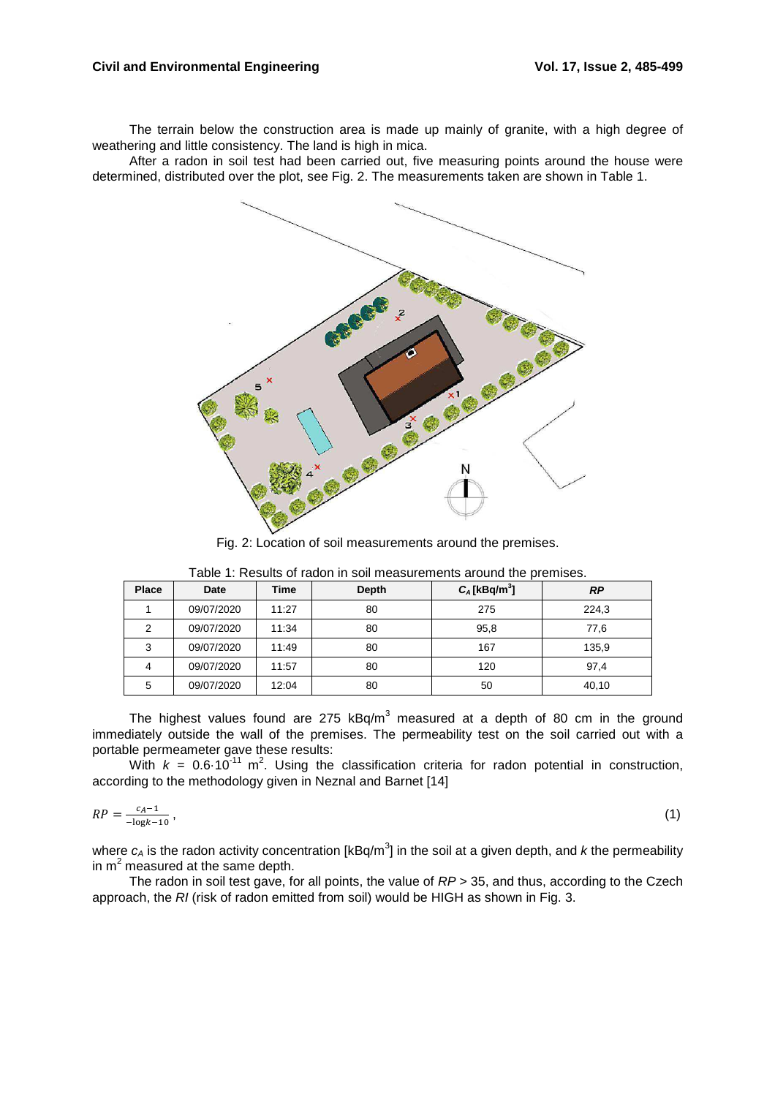# **Civil and Environmental Engineering Vol. 17, Issue 2, 485-499**

The terrain below the construction area is made up mainly of granite, with a high degree of weathering and little consistency. The land is high in mica.

After a radon in soil test had been carried out, five measuring points around the house were determined, distributed over the plot, see Fig. 2. The measurements taken are shown in Table 1.



Fig. 2: Location of soil measurements around the premises.

| <b>Place</b> | Date       | Time  | Depth | $C_A$ [kBq/m <sup>3</sup> ] | RP    |  |
|--------------|------------|-------|-------|-----------------------------|-------|--|
|              | 09/07/2020 | 11:27 | 80    | 275                         | 224,3 |  |
| 2            | 09/07/2020 | 11:34 | 80    | 95,8                        | 77,6  |  |
| 3            | 09/07/2020 | 11:49 | 80    | 167                         | 135,9 |  |
| 4            | 09/07/2020 | 11:57 | 80    | 120                         | 97,4  |  |
| 5            | 09/07/2020 | 12:04 | 80    | 50                          | 40,10 |  |

Table 1: Results of radon in soil measurements around the premises.

The highest values found are 275 kBq/m<sup>3</sup> measured at a depth of 80 cm in the ground immediately outside the wall of the premises. The permeability test on the soil carried out with a portable permeameter gave these results:

With  $k = 0.6 \cdot 10^{-11}$  m<sup>2</sup>. Using the classification criteria for radon potential in construction, according to the methodology given in Neznal and Barnet [14]

$$
RP = \frac{c_A - 1}{-\log k - 10} \,,\tag{1}
$$

where  $c_A$  is the radon activity concentration [kBq/m<sup>3</sup>] in the soil at a given depth, and *k* the permeability in m<sup>2</sup> measured at the same depth.

The radon in soil test gave, for all points, the value of  $RP > 35$ , and thus, according to the Czech approach, the RI (risk of radon emitted from soil) would be HIGH as shown in Fig. 3.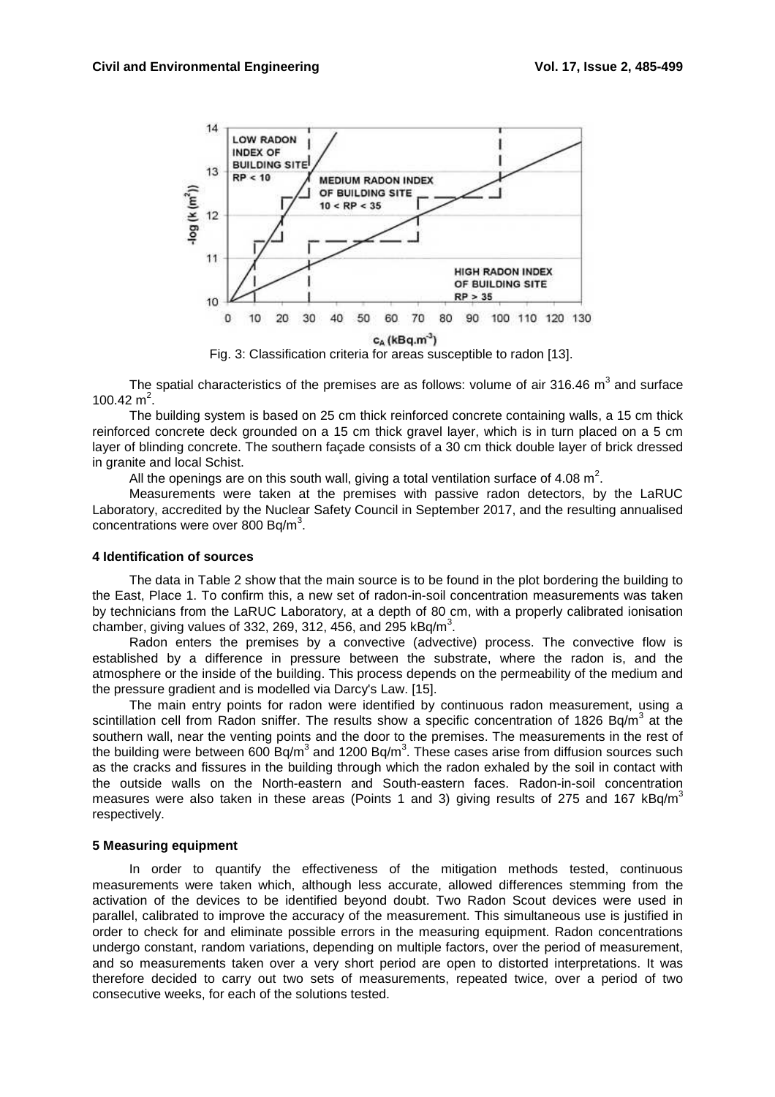

The spatial characteristics of the premises are as follows: volume of air 316.46  $m^3$  and surface 100.42  $m^2$ .

The building system is based on 25 cm thick reinforced concrete containing walls, a 15 cm thick reinforced concrete deck grounded on a 15 cm thick gravel layer, which is in turn placed on a 5 cm layer of blinding concrete. The southern façade consists of a 30 cm thick double layer of brick dressed in granite and local Schist.

All the openings are on this south wall, giving a total ventilation surface of 4.08  $m^2$ .

Measurements were taken at the premises with passive radon detectors, by the LaRUC Laboratory, accredited by the Nuclear Safety Council in September 2017, and the resulting annualised concentrations were over 800 Bq/m<sup>3</sup>.

#### **4 Identification of sources**

The data in Table 2 show that the main source is to be found in the plot bordering the building to the East, Place 1. To confirm this, a new set of radon-in-soil concentration measurements was taken by technicians from the LaRUC Laboratory, at a depth of 80 cm, with a properly calibrated ionisation chamber, giving values of 332, 269, 312, 456, and 295 kBq/m<sup>3</sup>.

Radon enters the premises by a convective (advective) process. The convective flow is established by a difference in pressure between the substrate, where the radon is, and the atmosphere or the inside of the building. This process depends on the permeability of the medium and the pressure gradient and is modelled via Darcy's Law. [15].

The main entry points for radon were identified by continuous radon measurement, using a scintillation cell from Radon sniffer. The results show a specific concentration of 1826 Bq/m<sup>3</sup> at the southern wall, near the venting points and the door to the premises. The measurements in the rest of the building were between 600 Bq/m<sup>3</sup> and 1200 Bq/m<sup>3</sup>. These cases arise from diffusion sources such as the cracks and fissures in the building through which the radon exhaled by the soil in contact with the outside walls on the North-eastern and South-eastern faces. Radon-in-soil concentration measures were also taken in these areas (Points 1 and 3) giving results of 275 and 167 kBq/m<sup>3</sup> respectively.

#### **5 Measuring equipment**

In order to quantify the effectiveness of the mitigation methods tested, continuous measurements were taken which, although less accurate, allowed differences stemming from the activation of the devices to be identified beyond doubt. Two Radon Scout devices were used in parallel, calibrated to improve the accuracy of the measurement. This simultaneous use is justified in order to check for and eliminate possible errors in the measuring equipment. Radon concentrations undergo constant, random variations, depending on multiple factors, over the period of measurement, and so measurements taken over a very short period are open to distorted interpretations. It was therefore decided to carry out two sets of measurements, repeated twice, over a period of two consecutive weeks, for each of the solutions tested.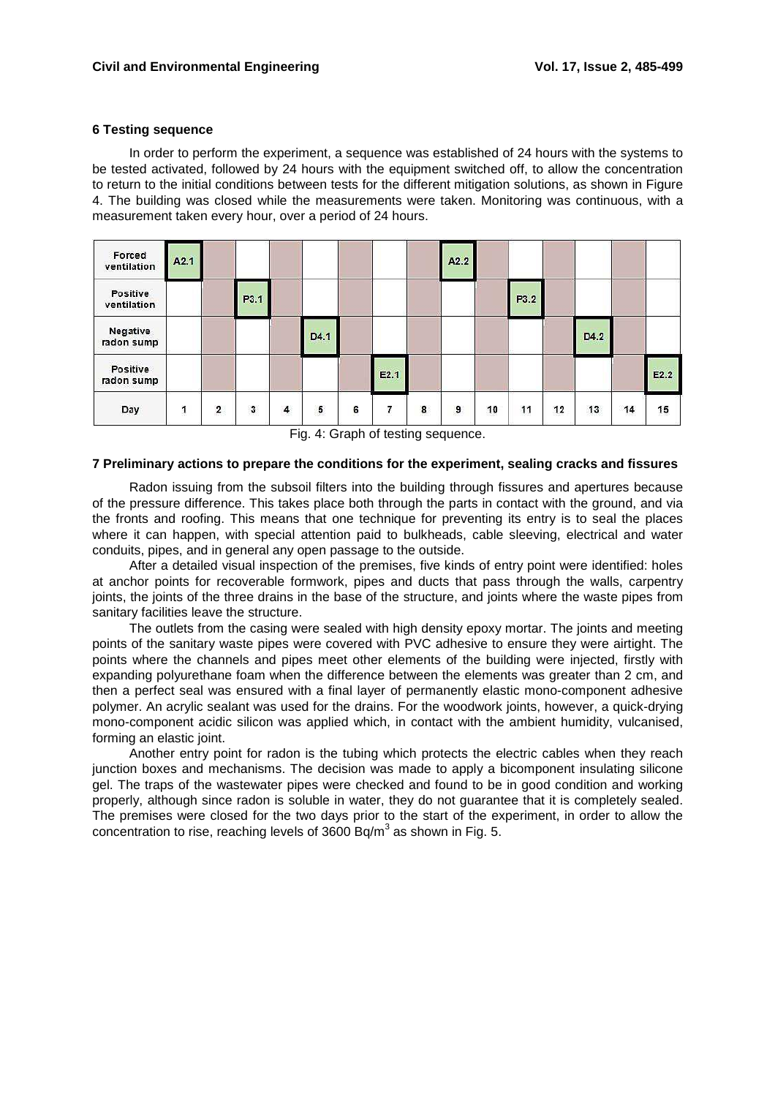### **6 Testing sequence**

In order to perform the experiment, a sequence was established of 24 hours with the systems to be tested activated, followed by 24 hours with the equipment switched off, to allow the concentration to return to the initial conditions between tests for the different mitigation solutions, as shown in Figure 4. The building was closed while the measurements were taken. Monitoring was continuous, with a measurement taken every hour, over a period of 24 hours.

| Forced<br>ventilation   | A2.1 |                         |      |   |           |   |                  |   | A2.2 |    |          |           |              |            |              |
|-------------------------|------|-------------------------|------|---|-----------|---|------------------|---|------|----|----------|-----------|--------------|------------|--------------|
| Positive<br>ventilation |      |                         | P3.1 |   |           |   |                  |   |      |    | P3.2     |           |              |            |              |
| Negative<br>radon sump  |      |                         |      |   | D4.1      |   |                  |   |      |    |          |           | D4.2         |            |              |
| Positive<br>radon sump  |      |                         |      |   |           |   | E2.1             |   |      |    |          |           |              |            | E2.2         |
| Day                     |      | $\overline{\mathbf{c}}$ | 3    | 4 | 5<br>an a | 6 | 7<br><b>STAR</b> | 8 | 9    | 10 | 11<br>-- | 12<br>236 | 13<br>194000 | 14<br>1915 | 15<br>VE 849 |

Fig. 4: Graph of testing sequence.

#### **7 Preliminary actions to prepare the conditions for the experiment, sealing cracks and fissures**

Radon issuing from the subsoil filters into the building through fissures and apertures because of the pressure difference. This takes place both through the parts in contact with the ground, and via the fronts and roofing. This means that one technique for preventing its entry is to seal the places where it can happen, with special attention paid to bulkheads, cable sleeving, electrical and water conduits, pipes, and in general any open passage to the outside.

After a detailed visual inspection of the premises, five kinds of entry point were identified: holes at anchor points for recoverable formwork, pipes and ducts that pass through the walls, carpentry joints, the joints of the three drains in the base of the structure, and joints where the waste pipes from sanitary facilities leave the structure.

The outlets from the casing were sealed with high density epoxy mortar. The joints and meeting points of the sanitary waste pipes were covered with PVC adhesive to ensure they were airtight. The points where the channels and pipes meet other elements of the building were injected, firstly with expanding polyurethane foam when the difference between the elements was greater than 2 cm, and then a perfect seal was ensured with a final layer of permanently elastic mono-component adhesive polymer. An acrylic sealant was used for the drains. For the woodwork joints, however, a quick-drying mono-component acidic silicon was applied which, in contact with the ambient humidity, vulcanised, forming an elastic joint.

Another entry point for radon is the tubing which protects the electric cables when they reach junction boxes and mechanisms. The decision was made to apply a bicomponent insulating silicone gel. The traps of the wastewater pipes were checked and found to be in good condition and working properly, although since radon is soluble in water, they do not guarantee that it is completely sealed. The premises were closed for the two days prior to the start of the experiment, in order to allow the concentration to rise, reaching levels of  $3600$  Bq/m<sup>3</sup> as shown in Fig. 5.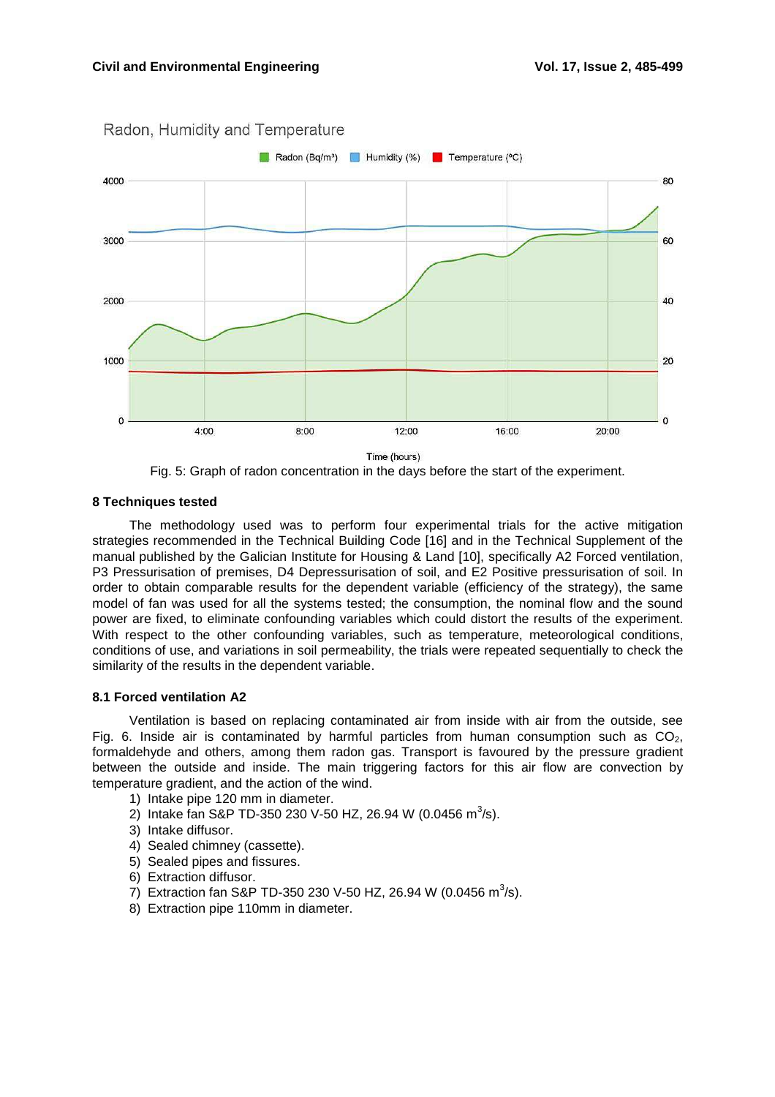

Radon, Humidity and Temperature



#### **8 Techniques tested**

The methodology used was to perform four experimental trials for the active mitigation strategies recommended in the Technical Building Code [16] and in the Technical Supplement of the manual published by the Galician Institute for Housing & Land [10], specifically A2 Forced ventilation, P3 Pressurisation of premises, D4 Depressurisation of soil, and E2 Positive pressurisation of soil. In order to obtain comparable results for the dependent variable (efficiency of the strategy), the same model of fan was used for all the systems tested; the consumption, the nominal flow and the sound power are fixed, to eliminate confounding variables which could distort the results of the experiment. With respect to the other confounding variables, such as temperature, meteorological conditions, conditions of use, and variations in soil permeability, the trials were repeated sequentially to check the similarity of the results in the dependent variable.

#### **8.1 Forced ventilation A2**

Ventilation is based on replacing contaminated air from inside with air from the outside, see Fig. 6. Inside air is contaminated by harmful particles from human consumption such as  $CO<sub>2</sub>$ , formaldehyde and others, among them radon gas. Transport is favoured by the pressure gradient between the outside and inside. The main triggering factors for this air flow are convection by temperature gradient, and the action of the wind.

- 1) Intake pipe 120 mm in diameter.
- 2) Intake fan S&P TD-350 230 V-50 HZ, 26.94 W (0.0456 m<sup>3</sup>/s).
- 3) Intake diffusor.
- 4) Sealed chimney (cassette).
- 5) Sealed pipes and fissures.
- 6) Extraction diffusor.
- 7) Extraction fan S&P TD-350 230 V-50 HZ, 26.94 W (0.0456 m<sup>3</sup>/s).
- 8) Extraction pipe 110mm in diameter.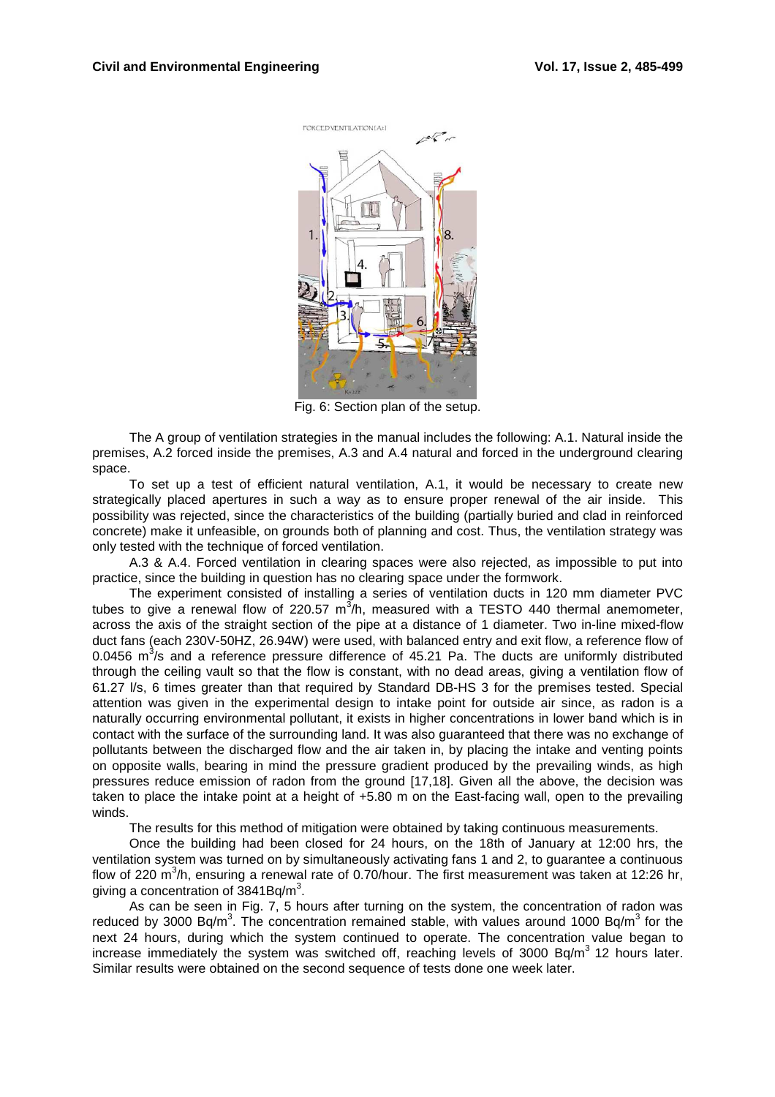

Fig. 6: Section plan of the setup.

The A group of ventilation strategies in the manual includes the following: A.1. Natural inside the premises, A.2 forced inside the premises, A.3 and A.4 natural and forced in the underground clearing space.

To set up a test of efficient natural ventilation, A.1, it would be necessary to create new strategically placed apertures in such a way as to ensure proper renewal of the air inside. This possibility was rejected, since the characteristics of the building (partially buried and clad in reinforced concrete) make it unfeasible, on grounds both of planning and cost. Thus, the ventilation strategy was only tested with the technique of forced ventilation.

A.3 & A.4. Forced ventilation in clearing spaces were also rejected, as impossible to put into practice, since the building in question has no clearing space under the formwork.

The experiment consisted of installing a series of ventilation ducts in 120 mm diameter PVC tubes to give a renewal flow of 220.57  $m^3/h$ , measured with a TESTO 440 thermal anemometer, across the axis of the straight section of the pipe at a distance of 1 diameter. Two in-line mixed-flow duct fans (each 230V-50HZ, 26.94W) were used, with balanced entry and exit flow, a reference flow of 0.0456  $m^3$ /s and a reference pressure difference of 45.21 Pa. The ducts are uniformly distributed through the ceiling vault so that the flow is constant, with no dead areas, giving a ventilation flow of 61.27 l/s, 6 times greater than that required by Standard DB-HS 3 for the premises tested. Special attention was given in the experimental design to intake point for outside air since, as radon is a naturally occurring environmental pollutant, it exists in higher concentrations in lower band which is in contact with the surface of the surrounding land. It was also guaranteed that there was no exchange of pollutants between the discharged flow and the air taken in, by placing the intake and venting points on opposite walls, bearing in mind the pressure gradient produced by the prevailing winds, as high pressures reduce emission of radon from the ground [17,18]. Given all the above, the decision was taken to place the intake point at a height of +5.80 m on the East-facing wall, open to the prevailing winds.

The results for this method of mitigation were obtained by taking continuous measurements.

Once the building had been closed for 24 hours, on the 18th of January at 12:00 hrs, the ventilation system was turned on by simultaneously activating fans 1 and 2, to guarantee a continuous flow of 220 m<sup>3</sup>/h, ensuring a renewal rate of 0.70/hour. The first measurement was taken at 12:26 hr, giving a concentration of  $3841Bq/m^3$ .

As can be seen in Fig. 7, 5 hours after turning on the system, the concentration of radon was reduced by 3000 Bq/m<sup>3</sup>. The concentration remained stable, with values around 1000 Bq/m<sup>3</sup> for the next 24 hours, during which the system continued to operate. The concentration value began to increase immediately the system was switched off, reaching levels of 3000 Bq/m<sup>3</sup> 12 hours later. Similar results were obtained on the second sequence of tests done one week later.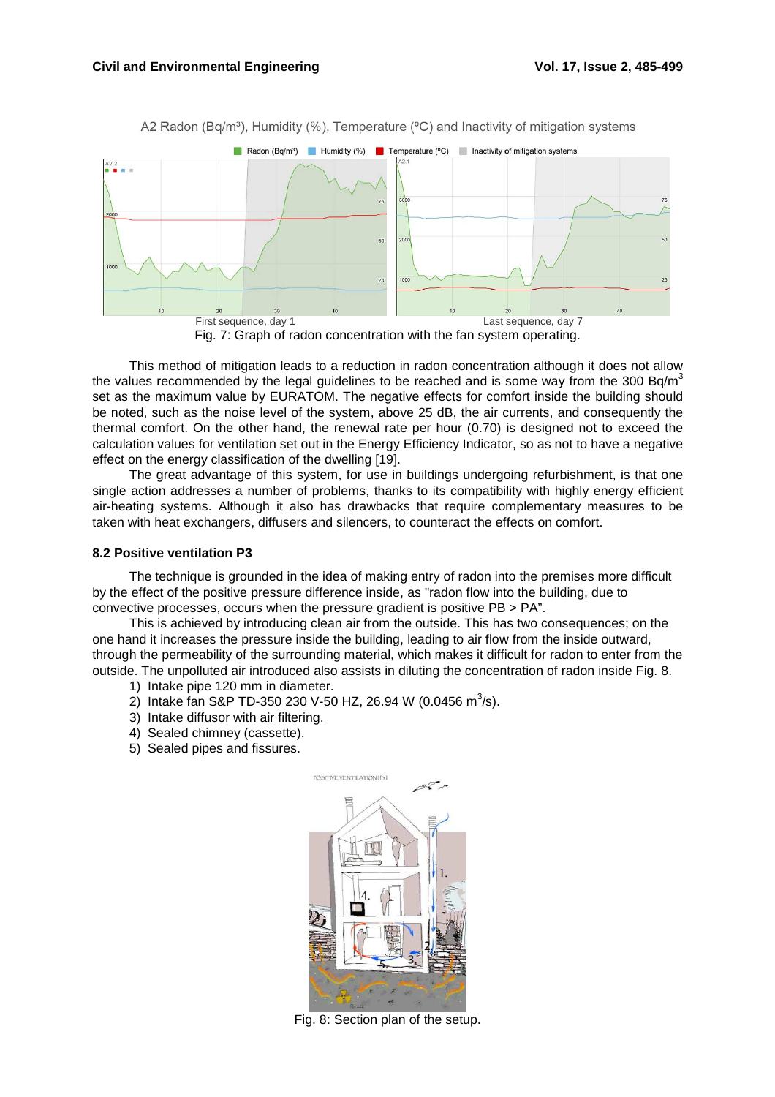

A2 Radon (Bq/m<sup>3</sup>), Humidity (%), Temperature ( $\degree$ C) and Inactivity of mitigation systems

This method of mitigation leads to a reduction in radon concentration although it does not allow the values recommended by the legal guidelines to be reached and is some way from the 300 Bq/m<sup>3</sup> set as the maximum value by EURATOM. The negative effects for comfort inside the building should be noted, such as the noise level of the system, above 25 dB, the air currents, and consequently the thermal comfort. On the other hand, the renewal rate per hour (0.70) is designed not to exceed the calculation values for ventilation set out in the Energy Efficiency Indicator, so as not to have a negative effect on the energy classification of the dwelling [19].

The great advantage of this system, for use in buildings undergoing refurbishment, is that one single action addresses a number of problems, thanks to its compatibility with highly energy efficient air-heating systems. Although it also has drawbacks that require complementary measures to be taken with heat exchangers, diffusers and silencers, to counteract the effects on comfort.

## **8.2 Positive ventilation P3**

The technique is grounded in the idea of making entry of radon into the premises more difficult by the effect of the positive pressure difference inside, as "radon flow into the building, due to convective processes, occurs when the pressure gradient is positive PB > PA".

This is achieved by introducing clean air from the outside. This has two consequences; on the one hand it increases the pressure inside the building, leading to air flow from the inside outward, through the permeability of the surrounding material, which makes it difficult for radon to enter from the outside. The unpolluted air introduced also assists in diluting the concentration of radon inside Fig. 8.

- 1) Intake pipe 120 mm in diameter.
- 2) Intake fan S&P TD-350 230 V-50 HZ, 26.94 W (0.0456 m<sup>3</sup>/s).
- 3) Intake diffusor with air filtering.
- 4) Sealed chimney (cassette).
- 5) Sealed pipes and fissures.



Fig. 8: Section plan of the setup.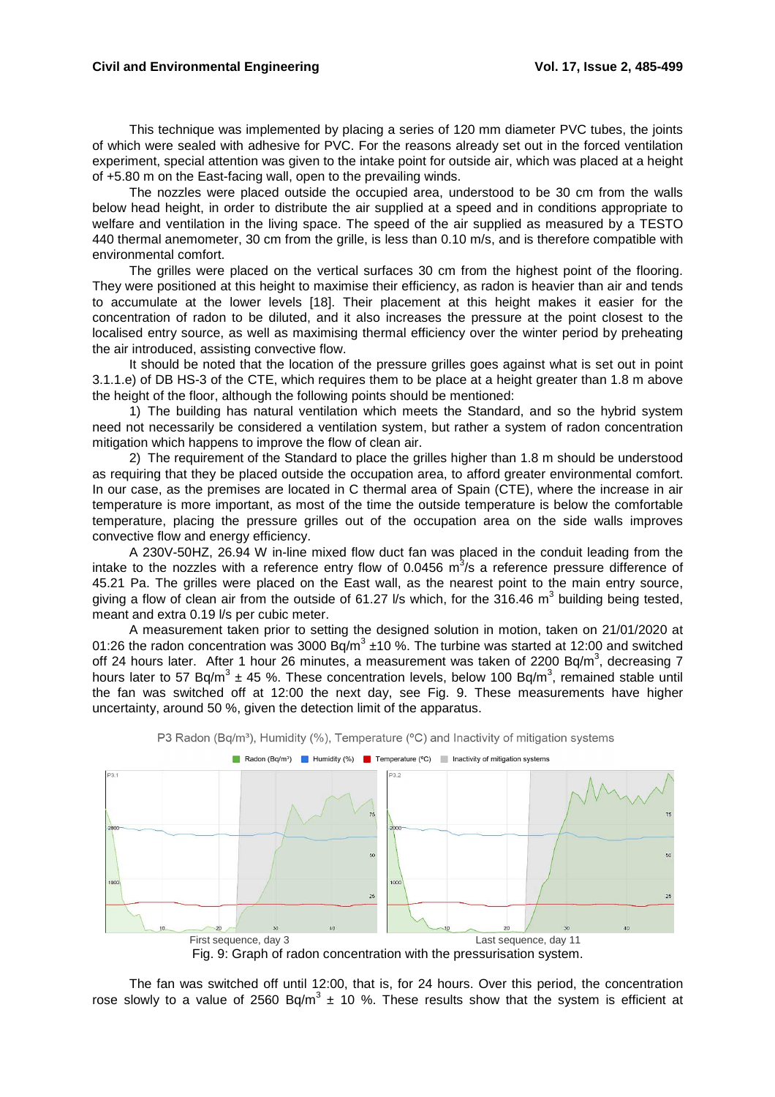This technique was implemented by placing a series of 120 mm diameter PVC tubes, the joints of which were sealed with adhesive for PVC. For the reasons already set out in the forced ventilation experiment, special attention was given to the intake point for outside air, which was placed at a height of +5.80 m on the East-facing wall, open to the prevailing winds.

The nozzles were placed outside the occupied area, understood to be 30 cm from the walls below head height, in order to distribute the air supplied at a speed and in conditions appropriate to welfare and ventilation in the living space. The speed of the air supplied as measured by a TESTO 440 thermal anemometer, 30 cm from the grille, is less than 0.10 m/s, and is therefore compatible with environmental comfort.

The grilles were placed on the vertical surfaces 30 cm from the highest point of the flooring. They were positioned at this height to maximise their efficiency, as radon is heavier than air and tends to accumulate at the lower levels [18]. Their placement at this height makes it easier for the concentration of radon to be diluted, and it also increases the pressure at the point closest to the localised entry source, as well as maximising thermal efficiency over the winter period by preheating the air introduced, assisting convective flow.

It should be noted that the location of the pressure grilles goes against what is set out in point 3.1.1.e) of DB HS-3 of the CTE, which requires them to be place at a height greater than 1.8 m above the height of the floor, although the following points should be mentioned:

1) The building has natural ventilation which meets the Standard, and so the hybrid system need not necessarily be considered a ventilation system, but rather a system of radon concentration mitigation which happens to improve the flow of clean air.

2) The requirement of the Standard to place the grilles higher than 1.8 m should be understood as requiring that they be placed outside the occupation area, to afford greater environmental comfort. In our case, as the premises are located in C thermal area of Spain (CTE), where the increase in air temperature is more important, as most of the time the outside temperature is below the comfortable temperature, placing the pressure grilles out of the occupation area on the side walls improves convective flow and energy efficiency.

A 230V-50HZ, 26.94 W in-line mixed flow duct fan was placed in the conduit leading from the intake to the nozzles with a reference entry flow of 0.0456  $m^3/s$  a reference pressure difference of 45.21 Pa. The grilles were placed on the East wall, as the nearest point to the main entry source, giving a flow of clean air from the outside of 61.27 I/s which, for the 316.46  $m^3$  building being tested, meant and extra 0.19 l/s per cubic meter.

A measurement taken prior to setting the designed solution in motion, taken on 21/01/2020 at 01:26 the radon concentration was 3000 Bq/m<sup>3</sup>  $\pm$ 10 %. The turbine was started at 12:00 and switched off 24 hours later. After 1 hour 26 minutes, a measurement was taken of 2200 Bq/m<sup>3</sup>, decreasing 7 hours later to 57 Bq/m<sup>3</sup> ± 45 %. These concentration levels, below 100 Bq/m<sup>3</sup>, remained stable until the fan was switched off at 12:00 the next day, see Fig. 9. These measurements have higher uncertainty, around 50 %, given the detection limit of the apparatus.



P3 Radon (Bq/m<sup>3</sup>), Humidity (%), Temperature (°C) and Inactivity of mitigation systems

The fan was switched off until 12:00, that is, for 24 hours. Over this period, the concentration rose slowly to a value of 2560 Bq/m<sup>3</sup>  $\pm$  10 %. These results show that the system is efficient at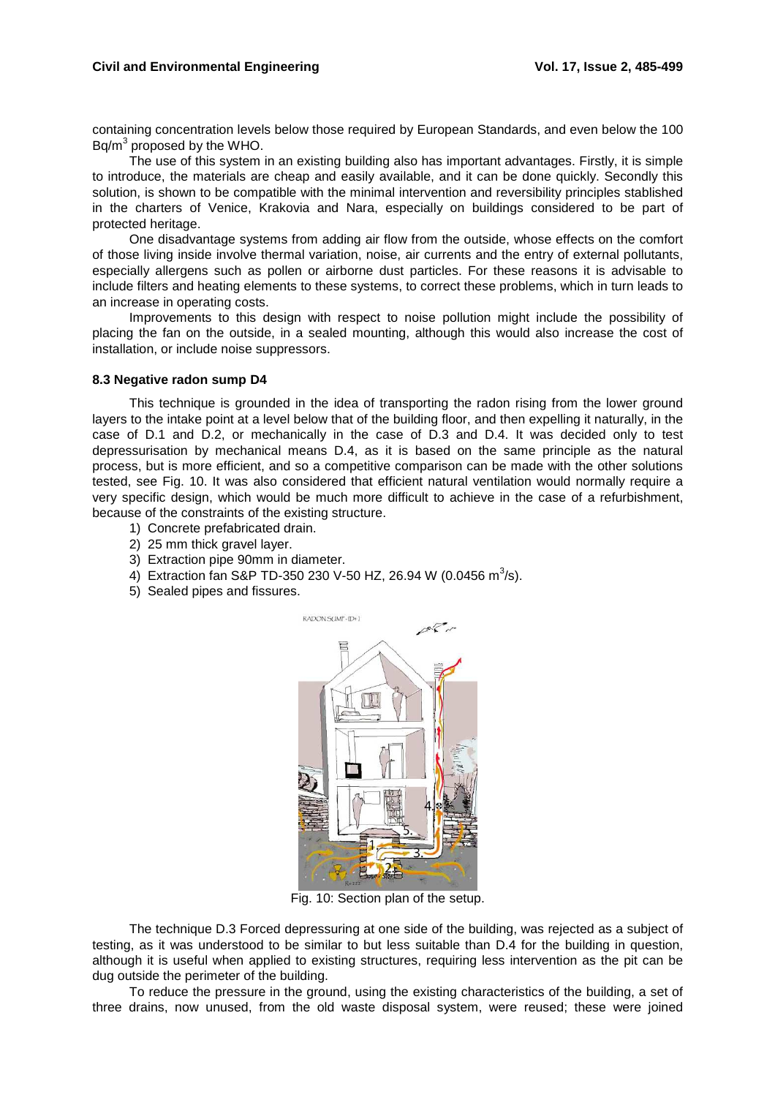containing concentration levels below those required by European Standards, and even below the 100  $Bq/m<sup>3</sup>$  proposed by the WHO.

The use of this system in an existing building also has important advantages. Firstly, it is simple to introduce, the materials are cheap and easily available, and it can be done quickly. Secondly this solution, is shown to be compatible with the minimal intervention and reversibility principles stablished in the charters of Venice, Krakovia and Nara, especially on buildings considered to be part of protected heritage.

One disadvantage systems from adding air flow from the outside, whose effects on the comfort of those living inside involve thermal variation, noise, air currents and the entry of external pollutants, especially allergens such as pollen or airborne dust particles. For these reasons it is advisable to include filters and heating elements to these systems, to correct these problems, which in turn leads to an increase in operating costs.

Improvements to this design with respect to noise pollution might include the possibility of placing the fan on the outside, in a sealed mounting, although this would also increase the cost of installation, or include noise suppressors.

#### **8.3 Negative radon sump D4**

This technique is grounded in the idea of transporting the radon rising from the lower ground layers to the intake point at a level below that of the building floor, and then expelling it naturally, in the case of D.1 and D.2, or mechanically in the case of D.3 and D.4. It was decided only to test depressurisation by mechanical means D.4, as it is based on the same principle as the natural process, but is more efficient, and so a competitive comparison can be made with the other solutions tested, see Fig. 10. It was also considered that efficient natural ventilation would normally require a very specific design, which would be much more difficult to achieve in the case of a refurbishment, because of the constraints of the existing structure.

- 1) Concrete prefabricated drain.
- 2) 25 mm thick gravel layer.
- 3) Extraction pipe 90mm in diameter.
- 4) Extraction fan S&P TD-350 230 V-50 HZ, 26.94 W (0.0456 m<sup>3</sup>/s).
- 5) Sealed pipes and fissures.



Fig. 10: Section plan of the setup.

The technique D.3 Forced depressuring at one side of the building, was rejected as a subject of testing, as it was understood to be similar to but less suitable than D.4 for the building in question, although it is useful when applied to existing structures, requiring less intervention as the pit can be dug outside the perimeter of the building.

To reduce the pressure in the ground, using the existing characteristics of the building, a set of three drains, now unused, from the old waste disposal system, were reused; these were joined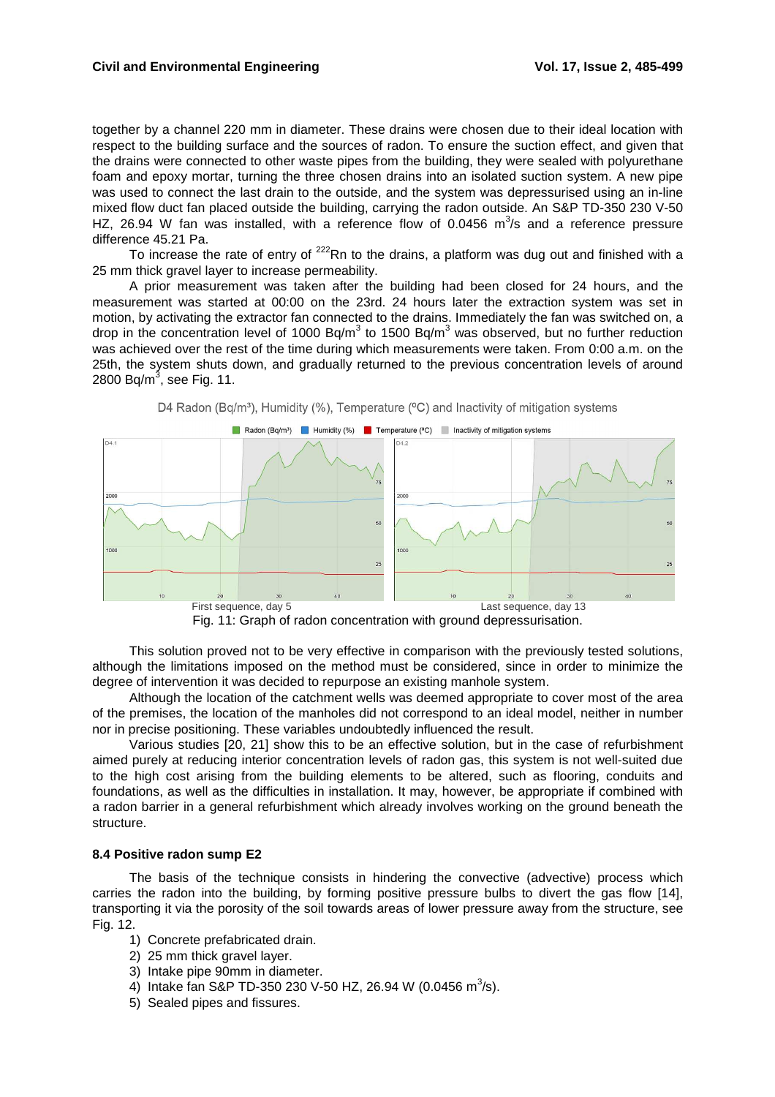#### **Civil and Environmental Engineering Vol. 17, Issue 2, 485-499**

together by a channel 220 mm in diameter. These drains were chosen due to their ideal location with respect to the building surface and the sources of radon. To ensure the suction effect, and given that the drains were connected to other waste pipes from the building, they were sealed with polyurethane foam and epoxy mortar, turning the three chosen drains into an isolated suction system. A new pipe was used to connect the last drain to the outside, and the system was depressurised using an in-line mixed flow duct fan placed outside the building, carrying the radon outside. An S&P TD-350 230 V-50 HZ, 26.94 W fan was installed, with a reference flow of 0.0456  $m^3/s$  and a reference pressure difference 45.21 Pa.

To increase the rate of entry of  $^{222}$ Rn to the drains, a platform was dug out and finished with a 25 mm thick gravel layer to increase permeability.

A prior measurement was taken after the building had been closed for 24 hours, and the measurement was started at 00:00 on the 23rd. 24 hours later the extraction system was set in motion, by activating the extractor fan connected to the drains. Immediately the fan was switched on, a drop in the concentration level of 1000 Bq/m<sup>3</sup> to 1500 Bq/m<sup>3</sup> was observed, but no further reduction was achieved over the rest of the time during which measurements were taken. From 0:00 a.m. on the 25th, the system shuts down, and gradually returned to the previous concentration levels of around 2800 Bq/m $^3$ , see Fig. 11.





This solution proved not to be very effective in comparison with the previously tested solutions, although the limitations imposed on the method must be considered, since in order to minimize the degree of intervention it was decided to repurpose an existing manhole system.

Although the location of the catchment wells was deemed appropriate to cover most of the area of the premises, the location of the manholes did not correspond to an ideal model, neither in number nor in precise positioning. These variables undoubtedly influenced the result.

Various studies [20, 21] show this to be an effective solution, but in the case of refurbishment aimed purely at reducing interior concentration levels of radon gas, this system is not well-suited due to the high cost arising from the building elements to be altered, such as flooring, conduits and foundations, as well as the difficulties in installation. It may, however, be appropriate if combined with a radon barrier in a general refurbishment which already involves working on the ground beneath the structure.

## **8.4 Positive radon sump E2**

The basis of the technique consists in hindering the convective (advective) process which carries the radon into the building, by forming positive pressure bulbs to divert the gas flow [14], transporting it via the porosity of the soil towards areas of lower pressure away from the structure, see Fig. 12.

- 1) Concrete prefabricated drain.
- 2) 25 mm thick gravel layer.
- 3) Intake pipe 90mm in diameter.
- 4) Intake fan S&P TD-350 230 V-50 HZ, 26.94 W (0.0456 m<sup>3</sup>/s).
- 5) Sealed pipes and fissures.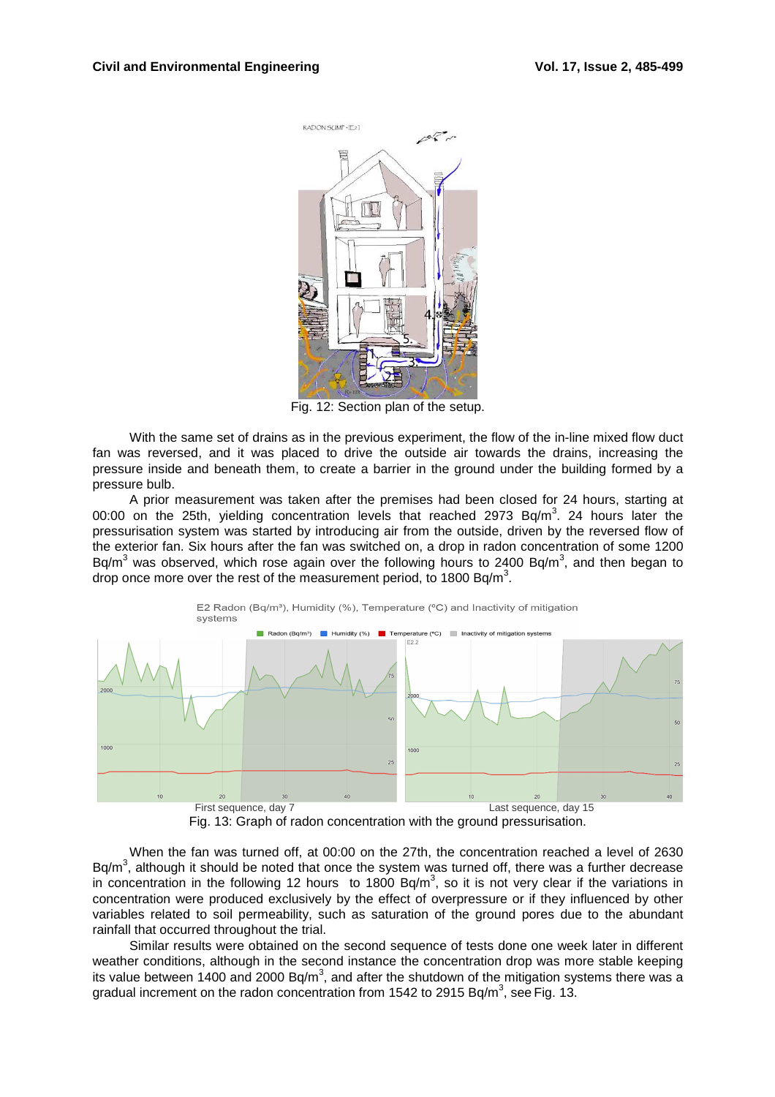

Fig. 12: Section plan of the setup.

With the same set of drains as in the previous experiment, the flow of the in-line mixed flow duct fan was reversed, and it was placed to drive the outside air towards the drains, increasing the pressure inside and beneath them, to create a barrier in the ground under the building formed by a pressure bulb.

A prior measurement was taken after the premises had been closed for 24 hours, starting at 00:00 on the 25th, yielding concentration levels that reached 2973 Bq/m<sup>3</sup>. 24 hours later the pressurisation system was started by introducing air from the outside, driven by the reversed flow of the exterior fan. Six hours after the fan was switched on, a drop in radon concentration of some 1200 Bq/m<sup>3</sup> was observed, which rose again over the following hours to 2400 Bq/m<sup>3</sup>, and then began to drop once more over the rest of the measurement period, to 1800 Bq/m<sup>3</sup>.



Fig. 13: Graph of radon concentration with the ground pressurisation.

When the fan was turned off, at 00:00 on the 27th, the concentration reached a level of 2630 Bq/m<sup>3</sup>, although it should be noted that once the system was turned off, there was a further decrease in concentration in the following 12 hours to 1800 Bq/m<sup>3</sup>, so it is not very clear if the variations in concentration were produced exclusively by the effect of overpressure or if they influenced by other variables related to soil permeability, such as saturation of the ground pores due to the abundant rainfall that occurred throughout the trial.

Similar results were obtained on the second sequence of tests done one week later in different weather conditions, although in the second instance the concentration drop was more stable keeping its value between 1400 and 2000 Bq/m<sup>3</sup>, and after the shutdown of the mitigation systems there was a gradual increment on the radon concentration from 1542 to 2915 Bq/m<sup>3</sup>, see Fig. 13.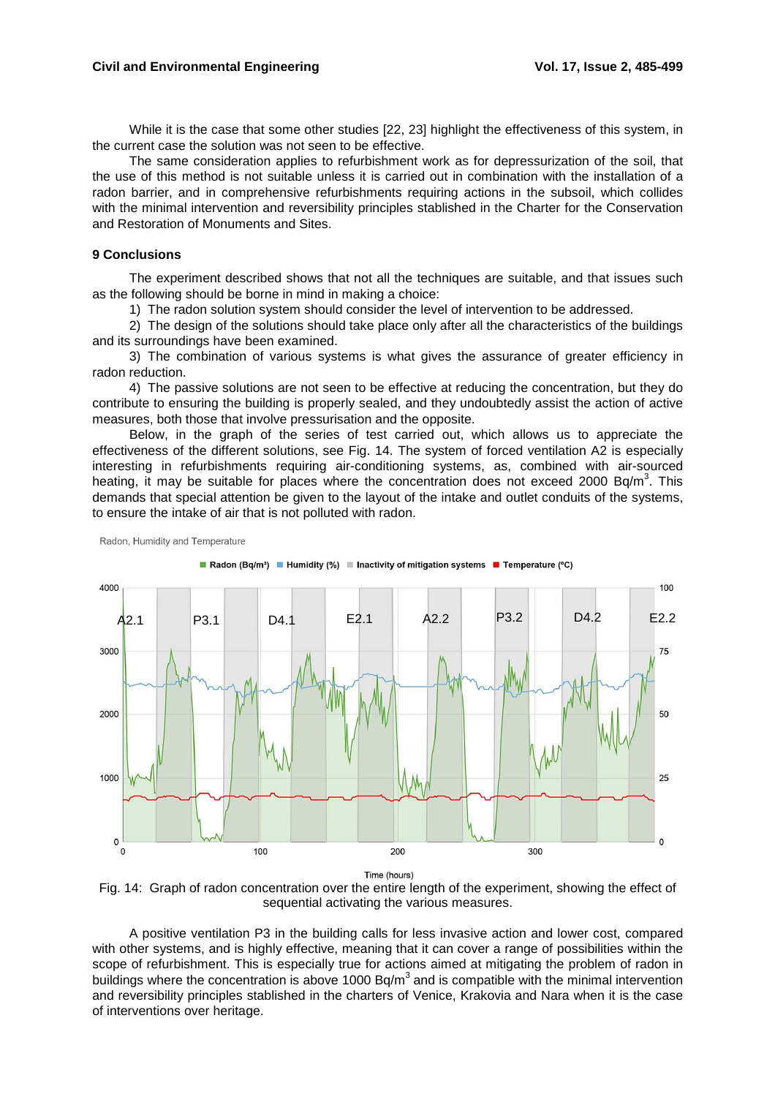While it is the case that some other studies [22, 23] highlight the effectiveness of this system, in the current case the solution was not seen to be effective.

The same consideration applies to refurbishment work as for depressurization of the soil, that the use of this method is not suitable unless it is carried out in combination with the installation of a radon barrier, and in comprehensive refurbishments requiring actions in the subsoil, which collides with the minimal intervention and reversibility principles stablished in the Charter for the Conservation and Restoration of Monuments and Sites.

#### **9 Conclusions**

Radon, Humidity and Temperature

The experiment described shows that not all the techniques are suitable, and that issues such as the following should be borne in mind in making a choice:

1) The radon solution system should consider the level of intervention to be addressed.

2) The design of the solutions should take place only after all the characteristics of the buildings and its surroundings have been examined.

3) The combination of various systems is what gives the assurance of greater efficiency in radon reduction.

4) The passive solutions are not seen to be effective at reducing the concentration, but they do contribute to ensuring the building is properly sealed, and they undoubtedly assist the action of active measures, both those that involve pressurisation and the opposite.

Below, in the graph of the series of test carried out, which allows us to appreciate the effectiveness of the different solutions, see Fig. 14. The system of forced ventilation A2 is especially interesting in refurbishments requiring air-conditioning systems, as, combined with air-sourced heating, it may be suitable for places where the concentration does not exceed 2000 Bq/m<sup>3</sup>. This demands that special attention be given to the layout of the intake and outlet conduits of the systems, to ensure the intake of air that is not polluted with radon.

■ Radon (Bq/m<sup>3</sup>) ■ Humidity (%) ■ Inactivity of mitigation systems ■ Temperature (°C) 4000 100 A2.1 P3.1 D4.1 E2.1 A2.2 P3.2 D4.2 E2.2 3000 75 2000 50 1000 25  $\mathbf 0$  $\mathbf 0$ 100 200 300

Time (hours)



A positive ventilation P3 in the building calls for less invasive action and lower cost, compared with other systems, and is highly effective, meaning that it can cover a range of possibilities within the scope of refurbishment. This is especially true for actions aimed at mitigating the problem of radon in buildings where the concentration is above 1000 Bq/m<sup>3</sup> and is compatible with the minimal intervention and reversibility principles stablished in the charters of Venice, Krakovia and Nara when it is the case of interventions over heritage.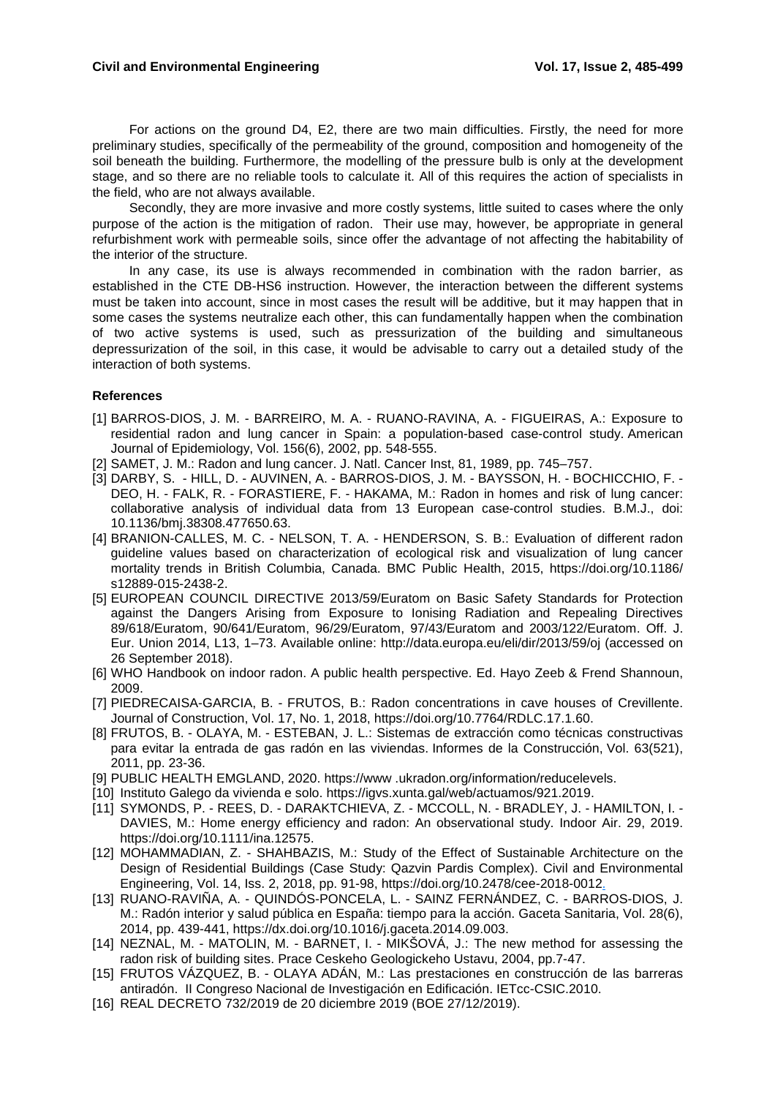For actions on the ground D4, E2, there are two main difficulties. Firstly, the need for more preliminary studies, specifically of the permeability of the ground, composition and homogeneity of the soil beneath the building. Furthermore, the modelling of the pressure bulb is only at the development stage, and so there are no reliable tools to calculate it. All of this requires the action of specialists in the field, who are not always available.

Secondly, they are more invasive and more costly systems, little suited to cases where the only purpose of the action is the mitigation of radon. Their use may, however, be appropriate in general refurbishment work with permeable soils, since offer the advantage of not affecting the habitability of the interior of the structure.

In any case, its use is always recommended in combination with the radon barrier, as established in the CTE DB-HS6 instruction. However, the interaction between the different systems must be taken into account, since in most cases the result will be additive, but it may happen that in some cases the systems neutralize each other, this can fundamentally happen when the combination of two active systems is used, such as pressurization of the building and simultaneous depressurization of the soil, in this case, it would be advisable to carry out a detailed study of the interaction of both systems.

## **References**

- [1] BARROS-DIOS, J. M. BARREIRO, M. A. RUANO-RAVINA, A. FIGUEIRAS, A.: Exposure to residential radon and lung cancer in Spain: a population-based case-control study. American Journal of Epidemiology, Vol. 156(6), 2002, pp. 548-555.
- [2] SAMET, J. M.: Radon and lung cancer. J. Natl. Cancer Inst, 81, 1989, pp. 745–757.
- [3] DARBY, S. HILL, D. AUVINEN, A. BARROS-DIOS, J. M. BAYSSON, H. BOCHICCHIO, F. DEO, H. - FALK, R. - FORASTIERE, F. - HAKAMA, M.: Radon in homes and risk of lung cancer: collaborative analysis of individual data from 13 European case-control studies. B.M.J., doi: 10.1136/bmj.38308.477650.63.
- [4] BRANION-CALLES, M. C. NELSON, T. A. HENDERSON, S. B.: Evaluation of different radon guideline values based on characterization of ecological risk and visualization of lung cancer mortality trends in British Columbia, Canada. BMC Public Health, 2015, https://doi.org/10.1186/ s12889-015-2438-2.
- [5] EUROPEAN COUNCIL DIRECTIVE 2013/59/Euratom on Basic Safety Standards for Protection against the Dangers Arising from Exposure to Ionising Radiation and Repealing Directives 89/618/Euratom, 90/641/Euratom, 96/29/Euratom, 97/43/Euratom and 2003/122/Euratom. Off. J. Eur. Union 2014, L13, 1–73. Available online: http://data.europa.eu/eli/dir/2013/59/oj (accessed on 26 September 2018).
- [6] WHO Handbook on indoor radon. A public health perspective. Ed. Hayo Zeeb & Frend Shannoun, 2009.
- [7] PIEDRECAISA-GARCIA, B. FRUTOS, B.: Radon concentrations in cave houses of Crevillente. Journal of Construction, Vol. 17, No. 1, 2018, https://doi.org/10.7764/RDLC.17.1.60.
- [8] FRUTOS, B. OLAYA, M. ESTEBAN, J. L.: Sistemas de extracción como técnicas constructivas para evitar la entrada de gas radón en las viviendas. Informes de la Construcción, Vol. 63(521), 2011, pp. 23-36.
- [9] PUBLIC HEALTH EMGLAND, 2020. https://www .ukradon.org/information/reducelevels.
- [10] Instituto Galego da vivienda e solo. https://igvs.xunta.gal/web/actuamos/921.2019.
- [11] SYMONDS, P. REES, D. DARAKTCHIEVA, Z. MCCOLL, N. BRADLEY, J. HAMILTON, I. DAVIES, M.: Home energy efficiency and radon: An observational study. Indoor Air. 29, 2019. https://doi.org/10.1111/ina.12575.
- [12] MOHAMMADIAN, Z. SHAHBAZIS, M.: Study of the Effect of Sustainable Architecture on the Design of Residential Buildings (Case Study: Qazvin Pardis Complex). Civil and Environmental Engineering, Vol. 14, Iss. 2, 2018, pp. 91-98, https://doi.org/10.2478/cee-2018-0012.
- [13] RUANO-RAVIÑA, A. QUINDÓS-PONCELA, L. SAINZ FERNÁNDEZ, C. BARROS-DIOS, J. M.: Radón interior y salud pública en España: tiempo para la acción. Gaceta Sanitaria, Vol. 28(6), 2014, pp. 439-441, https://dx.doi.org/10.1016/j.gaceta.2014.09.003.
- [14] NEZNAL, M. MATOLIN, M. BARNET, I. MIKŠOVÁ, J.: The new method for assessing the radon risk of building sites. Prace Ceskeho Geologickeho Ustavu, 2004, pp.7-47.
- [15] FRUTOS VÁZQUEZ, B. OLAYA ADÁN, M.: Las prestaciones en construcción de las barreras antiradón. II Congreso Nacional de Investigación en Edificación. IETcc-CSIC.2010.
- [16] REAL DECRETO 732/2019 de 20 diciembre 2019 (BOE 27/12/2019).